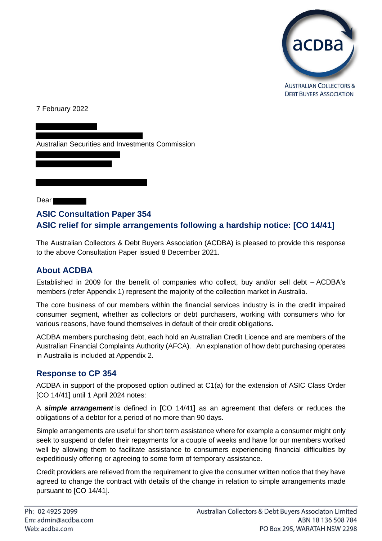

**DEBT BUYERS ASSOCIATION** 

7 February 2022

Australian Securities and Investments Commission

Dear

# **ASIC Consultation Paper 354 ASIC relief for simple arrangements following a hardship notice: [CO 14/41]**

The Australian Collectors & Debt Buyers Association (ACDBA) is pleased to provide this response to the above Consultation Paper issued 8 December 2021.

### **About ACDBA**

Established in 2009 for the benefit of companies who collect, buy and/or sell debt – ACDBA's members (refer Appendix 1) represent the majority of the collection market in Australia.

The core business of our members within the financial services industry is in the credit impaired consumer segment, whether as collectors or debt purchasers, working with consumers who for various reasons, have found themselves in default of their credit obligations.

ACDBA members purchasing debt, each hold an Australian Credit Licence and are members of the Australian Financial Complaints Authority (AFCA). An explanation of how debt purchasing operates in Australia is included at Appendix 2.

### **Response to CP 354**

ACDBA in support of the proposed option outlined at C1(a) for the extension of ASIC Class Order [CO 14/41] until 1 April 2024 notes:

A *simple arrangement* is defined in [CO 14/41] as an agreement that defers or reduces the obligations of a debtor for a period of no more than 90 days.

Simple arrangements are useful for short term assistance where for example a consumer might only seek to suspend or defer their repayments for a couple of weeks and have for our members worked well by allowing them to facilitate assistance to consumers experiencing financial difficulties by expeditiously offering or agreeing to some form of temporary assistance.

Credit providers are relieved from the requirement to give the consumer written notice that they have agreed to change the contract with details of the change in relation to simple arrangements made pursuant to [CO 14/41].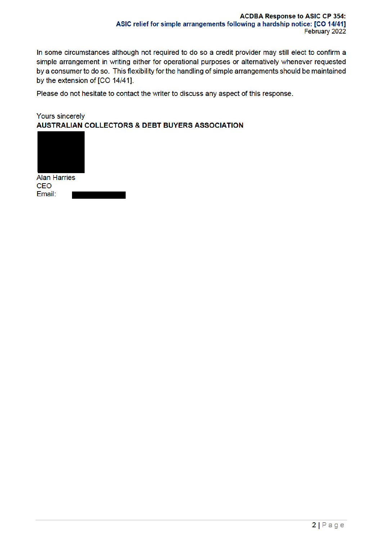In some circumstances although not required to do so a credit provider may still elect to confirm a simple arrangement in writing either for operational purposes or alternatively whenever requested by a consumer to do so. This flexibility for the handling of simple arrangements should be maintained by the extension of [CO 14/41].

Please do not hesitate to contact the writer to discuss any aspect of this response.

#### **Yours sincerely AUSTRALIAN COLLECTORS & DEBT BUYERS ASSOCIATION**

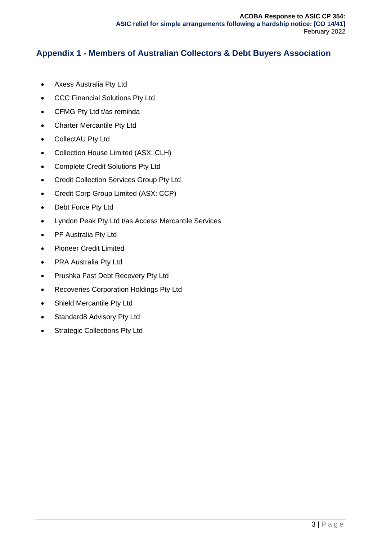# **Appendix 1 - Members of Australian Collectors & Debt Buyers Association**

- Axess Australia Pty Ltd
- CCC Financial Solutions Pty Ltd
- CFMG Pty Ltd t/as reminda
- Charter Mercantile Pty Ltd
- CollectAU Pty Ltd
- Collection House Limited (ASX: CLH)
- Complete Credit Solutions Pty Ltd
- Credit Collection Services Group Pty Ltd
- Credit Corp Group Limited (ASX: CCP)
- Debt Force Pty Ltd
- Lyndon Peak Pty Ltd t/as Access Mercantile Services
- PF Australia Pty Ltd
- Pioneer Credit Limited
- PRA Australia Pty Ltd
- Prushka Fast Debt Recovery Pty Ltd
- Recoveries Corporation Holdings Pty Ltd
- Shield Mercantile Pty Ltd
- Standard8 Advisory Pty Ltd
- Strategic Collections Pty Ltd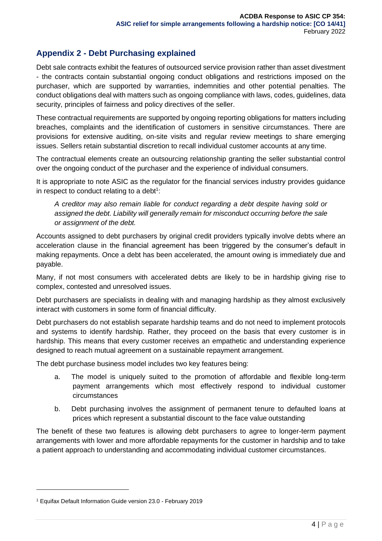# **Appendix 2 - Debt Purchasing explained**

Debt sale contracts exhibit the features of outsourced service provision rather than asset divestment - the contracts contain substantial ongoing conduct obligations and restrictions imposed on the purchaser, which are supported by warranties, indemnities and other potential penalties. The conduct obligations deal with matters such as ongoing compliance with laws, codes, guidelines, data security, principles of fairness and policy directives of the seller.

These contractual requirements are supported by ongoing reporting obligations for matters including breaches, complaints and the identification of customers in sensitive circumstances. There are provisions for extensive auditing, on-site visits and regular review meetings to share emerging issues. Sellers retain substantial discretion to recall individual customer accounts at any time.

The contractual elements create an outsourcing relationship granting the seller substantial control over the ongoing conduct of the purchaser and the experience of individual consumers.

It is appropriate to note ASIC as the regulator for the financial services industry provides guidance in respect to conduct relating to a debt $1$ :

*A creditor may also remain liable for conduct regarding a debt despite having sold or assigned the debt. Liability will generally remain for misconduct occurring before the sale or assignment of the debt.*

Accounts assigned to debt purchasers by original credit providers typically involve debts where an acceleration clause in the financial agreement has been triggered by the consumer's default in making repayments. Once a debt has been accelerated, the amount owing is immediately due and payable.

Many, if not most consumers with accelerated debts are likely to be in hardship giving rise to complex, contested and unresolved issues.

Debt purchasers are specialists in dealing with and managing hardship as they almost exclusively interact with customers in some form of financial difficulty.

Debt purchasers do not establish separate hardship teams and do not need to implement protocols and systems to identify hardship. Rather, they proceed on the basis that every customer is in hardship. This means that every customer receives an empathetic and understanding experience designed to reach mutual agreement on a sustainable repayment arrangement.

The debt purchase business model includes two key features being:

- a. The model is uniquely suited to the promotion of affordable and flexible long-term payment arrangements which most effectively respond to individual customer circumstances
- b. Debt purchasing involves the assignment of permanent tenure to defaulted loans at prices which represent a substantial discount to the face value outstanding

The benefit of these two features is allowing debt purchasers to agree to longer-term payment arrangements with lower and more affordable repayments for the customer in hardship and to take a patient approach to understanding and accommodating individual customer circumstances.

<sup>1</sup> Equifax Default Information Guide version 23.0 - February 2019